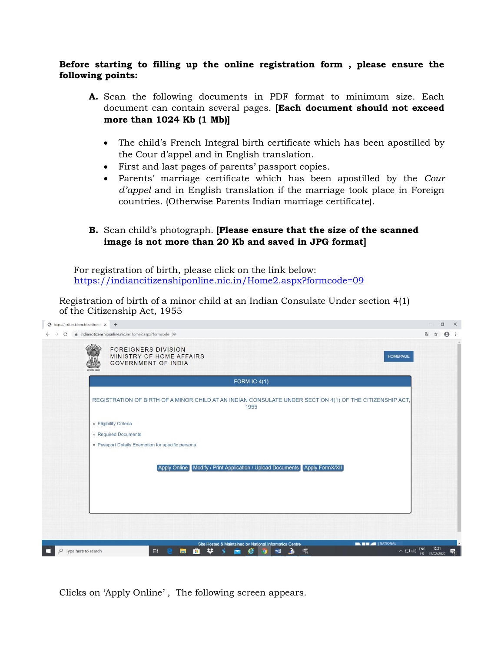## **Before starting to filling up the online registration form , please ensure the following points:**

- **A.** Scan the following documents in PDF format to minimum size. Each document can contain several pages. **[Each document should not exceed more than 1024 Kb (1 Mb)]**
	- The child's French Integral birth certificate which has been apostilled by the Cour d'appel and in English translation.
	- First and last pages of parents' passport copies.
	- Parents' marriage certificate which has been apostilled by the *Cour d'appel* and in English translation if the marriage took place in Foreign countries. (Otherwise Parents Indian marriage certificate).
- **B.** Scan child's photograph. **[Please ensure that the size of the scanned image is not more than 20 Kb and saved in JPG format]**

 For registration of birth, please click on the link below: <https://indiancitizenshiponline.nic.in/Home2.aspx?formcode=09>

Registration of birth of a minor child at an Indian Consulate Under section 4(1) of the Citizenship Act, 1955



Clicks on 'Apply Online' , The following screen appears.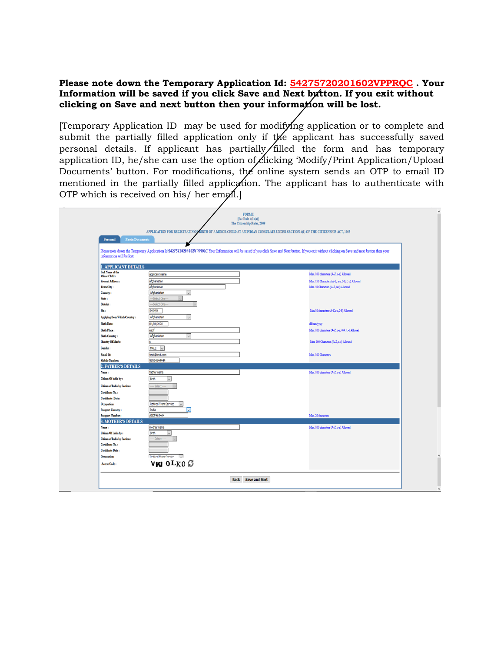**Please note down the Temporary Application Id: 54275720201602VPPRQC . Your Information will be saved if you click Save and Next button. If you exit without clicking on Save and next button then your information will be lost.**

[Temporary Application ID may be used for modifying application or to complete and submit the partially filled application only if the applicant has successfully saved personal details. If applicant has partially filled the form and has temporary application ID, he/she can use the option of clicking 'Modify/Print Application/Upload Documents' button. For modifications, the online system sends an OTP to email ID mentioned in the partially filled application. The applicant has to authenticate with OTP which is received on his/ her email.]

| <b>Photo/Documents</b><br>Personal           |                                                                                                                                                                                                     | SIRTH OF A MINOR CHILD AT AN INDIAN CONSULATE UNDER SECTION 4(1) OF THE CITIZENSHIP ACT, 1955 |
|----------------------------------------------|-----------------------------------------------------------------------------------------------------------------------------------------------------------------------------------------------------|-----------------------------------------------------------------------------------------------|
|                                              |                                                                                                                                                                                                     |                                                                                               |
|                                              |                                                                                                                                                                                                     |                                                                                               |
|                                              | Please note down the Temporary Application Id:54275720201602VPPRQC Your Information will be saved if you click Save and Next button. If you exit without clicking on Save and next button then your |                                                                                               |
| information will be lost.                    |                                                                                                                                                                                                     |                                                                                               |
| <b>1. APPLICANT DETAILS</b>                  |                                                                                                                                                                                                     |                                                                                               |
| Full Name of the                             |                                                                                                                                                                                                     |                                                                                               |
| Minor Child:                                 | applicant name                                                                                                                                                                                      | Max. 100 characters (A-Z, a-z) Allowed                                                        |
| Present Address:                             | afghanistan                                                                                                                                                                                         | Max. 150 Characters (A-Z, a-z, 0-9, /, -,) Allowed                                            |
| <b>Town City:</b>                            | afghanistan                                                                                                                                                                                         | Max. 50 Characters (A-Z, a-z) Allewed                                                         |
| Country:                                     | Afghanistan<br>$\checkmark$                                                                                                                                                                         |                                                                                               |
| State:                                       | -Select One-                                                                                                                                                                                        |                                                                                               |
| District:                                    | -Select One-                                                                                                                                                                                        |                                                                                               |
| Pin:                                         | 545454                                                                                                                                                                                              | Max 10 characters (A-Z.a-z.0-9) Allowed                                                       |
| Applying from Which Country:                 | Afghanistan                                                                                                                                                                                         |                                                                                               |
| <b>Birth Date:</b>                           | 01/01/2020                                                                                                                                                                                          | ddimmiyyyy                                                                                    |
| <b>Birth Place:</b>                          | asdf                                                                                                                                                                                                | Max. 100 characters (A-Z, a-z, 0-9, /, -) Allowed                                             |
| <b>Birth Country:</b>                        | Afghanistan<br>$\vee$                                                                                                                                                                               |                                                                                               |
| Identity Of Mark:                            |                                                                                                                                                                                                     | Max. 100 Characters (A-Z, a-z) Allowed                                                        |
| Gender:                                      | MALE $\vee$                                                                                                                                                                                         |                                                                                               |
| Email Id:                                    | test@test.com                                                                                                                                                                                       | Max. 100 Characters                                                                           |
| <b>Mobile Number:</b>                        | 98954544444                                                                                                                                                                                         |                                                                                               |
| <b>2. FATHER'S DETAILS</b>                   |                                                                                                                                                                                                     |                                                                                               |
| Name :                                       | father name                                                                                                                                                                                         | Max. 100 characters (A-Z, a-z) Allowed                                                        |
| Citizea Of india by:                         | Birth<br>$\checkmark$                                                                                                                                                                               |                                                                                               |
|                                              |                                                                                                                                                                                                     |                                                                                               |
| Citizen of India by Section:                 | -- Select -                                                                                                                                                                                         |                                                                                               |
| Certificate No.:                             |                                                                                                                                                                                                     |                                                                                               |
| Certificate Date:                            |                                                                                                                                                                                                     |                                                                                               |
| <b>Occupation:</b>                           | Retired From Service                                                                                                                                                                                |                                                                                               |
| Passport Country:<br><b>Passport Number:</b> | India<br>$\vert \vee \vert$<br>ASDF465464                                                                                                                                                           | Max. 20 characters                                                                            |
| <b>3. MOTHER'S DETAILS</b>                   |                                                                                                                                                                                                     |                                                                                               |
| Name:                                        | mother name                                                                                                                                                                                         | Max. 100 characters (A-Z, a-z) Allowed                                                        |
| Citizen Of India by:                         | Birth<br>$\vee$                                                                                                                                                                                     |                                                                                               |
| Citizen of India by Section:                 | --- Select ---                                                                                                                                                                                      |                                                                                               |
| Certificate No.:                             |                                                                                                                                                                                                     |                                                                                               |
| <b>Certificate Date:</b>                     |                                                                                                                                                                                                     |                                                                                               |
| <b>Occupation:</b>                           | <b>Defined From Service   U.</b>                                                                                                                                                                    |                                                                                               |
|                                              | VKI OLKO <sup>C</sup>                                                                                                                                                                               |                                                                                               |
| Access Code:                                 |                                                                                                                                                                                                     |                                                                                               |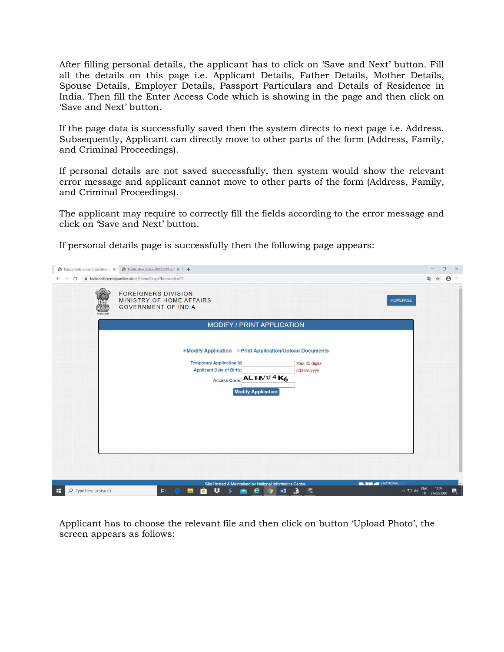After filling personal details, the applicant has to click on 'Save and Next' button. Fill all the details on this page i.e. Applicant Details, Father Details, Mother Details, Spouse Details, Employer Details, Passport Particulars and Details of Residence in India. Then fill the Enter Access Code which is showing in the page and then click on 'Save and Next' button.

If the page data is successfully saved then the system directs to next page i.e. Address. Subsequently, Applicant can directly move to other parts of the form (Address, Family, and Criminal Proceedings).

If personal details are not saved successfully, then system would show the relevant error message and applicant cannot move to other parts of the form (Address, Family, and Criminal Proceedings).

The applicant may require to correctly fill the fields according to the error message and click on 'Save and Next' button.

If personal details page is successfully then the following page appears:

| ● indiancitizenshiponline.nic.in/Home2.aspx?formcode=09<br>配 ☆<br>$\rightarrow$<br>C                                                                                                                                                                                        |                            |
|-----------------------------------------------------------------------------------------------------------------------------------------------------------------------------------------------------------------------------------------------------------------------------|----------------------------|
| <b>FOREIGNERS DIVISION</b><br>MINISTRY OF HOME AFFAIRS<br><b>HOMEPAGE</b><br><b>GOVERNMENT OF INDIA</b><br>न्यमेथ जयने                                                                                                                                                      | $\theta$<br>$\ddot{\cdot}$ |
| MODIFY / PRINT APPLICATION                                                                                                                                                                                                                                                  |                            |
| <b>.Modify Application Print Application/Upload Documents</b><br><b>Temporary Application Id</b><br>Max 20 digits<br><b>Applicant Date of Birth:</b><br>dd/mm/yyyy<br>Access Code: AL HVU 4 K6<br><b>Modify Application</b>                                                 |                            |
|                                                                                                                                                                                                                                                                             |                            |
|                                                                                                                                                                                                                                                                             |                            |
| <b>NEW AND INATIONAL</b><br>Site Hosted & Maintained by National Informatics Centre<br>$\land \Box \Leftrightarrow$ ENG<br>12:34<br>₩<br>Ĥ<br><b>Ei</b><br>e<br>H<br>局<br>$\mathbf{a}_\mathcal{G}$<br>$O$ Type here to search<br>$W_1^{\square}$<br>Ł<br>O<br>FR 27/02/2020 | 唏                          |

Applicant has to choose the relevant file and then click on button 'Upload Photo', the screen appears as follows: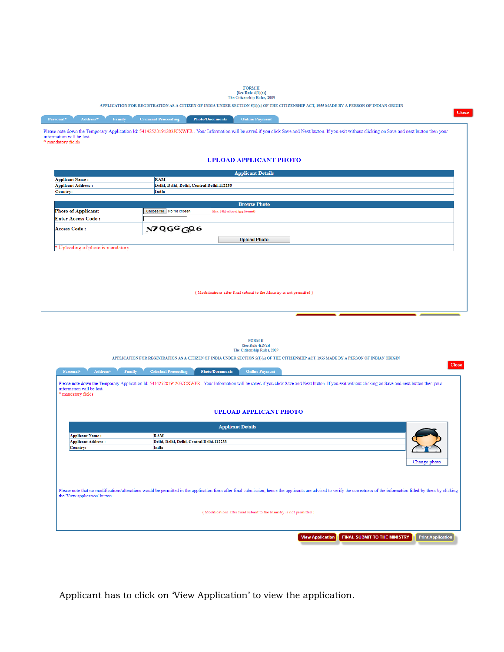|                                                     | free trate af year<br>The Citizenship Rules, 2009                                                                                                                                                     |  |  |  |  |
|-----------------------------------------------------|-------------------------------------------------------------------------------------------------------------------------------------------------------------------------------------------------------|--|--|--|--|
|                                                     | APPLICATION FOR REGISTRATION AS A CITIZEN OF INDIA UNDER SECTION 5(1)(a) OF THE CITIZENSHIP ACT, 1955 MADE BY A PERSON OF INDIAN ORIGIN                                                               |  |  |  |  |
| Address*<br>Family<br>Personal*                     | Close<br><b>Criminal Proceeding</b><br><b>Online Payment</b><br><b>Photo/Documents</b>                                                                                                                |  |  |  |  |
|                                                     |                                                                                                                                                                                                       |  |  |  |  |
| information will be lost.                           | Please note down the Temporary Application Id: 54142520191203JCXWFR. Your Information will be saved if you click Save and Next button. If you exit without clicking on Save and next button then your |  |  |  |  |
| * mandatory fields                                  |                                                                                                                                                                                                       |  |  |  |  |
|                                                     |                                                                                                                                                                                                       |  |  |  |  |
|                                                     | <b>UPLOAD APPLICANT PHOTO</b>                                                                                                                                                                         |  |  |  |  |
|                                                     |                                                                                                                                                                                                       |  |  |  |  |
|                                                     | <b>Applicant Details</b><br><b>RAM</b>                                                                                                                                                                |  |  |  |  |
| <b>Applicant Name:</b><br><b>Applicant Address:</b> | Delhi, Delhi, Delhi, Central Delhi-112233                                                                                                                                                             |  |  |  |  |
| Country:                                            | India                                                                                                                                                                                                 |  |  |  |  |
|                                                     |                                                                                                                                                                                                       |  |  |  |  |
|                                                     | <b>Browse Photo</b>                                                                                                                                                                                   |  |  |  |  |
| <b>Photo of Applicant:</b>                          | Choose file No file chosen<br>Max. 20kb allowed (jpg Format)                                                                                                                                          |  |  |  |  |
| <b>Enter Access Code:</b>                           |                                                                                                                                                                                                       |  |  |  |  |
| Access Code:                                        | N7QGGGQ6                                                                                                                                                                                              |  |  |  |  |
|                                                     | <b>Upload Photo</b>                                                                                                                                                                                   |  |  |  |  |
| * Uploading of photo is mandatory                   |                                                                                                                                                                                                       |  |  |  |  |
|                                                     |                                                                                                                                                                                                       |  |  |  |  |
|                                                     |                                                                                                                                                                                                       |  |  |  |  |
|                                                     |                                                                                                                                                                                                       |  |  |  |  |
|                                                     |                                                                                                                                                                                                       |  |  |  |  |
|                                                     |                                                                                                                                                                                                       |  |  |  |  |
|                                                     | (Modifications after final submit to the Ministry is not permitted)                                                                                                                                   |  |  |  |  |
|                                                     |                                                                                                                                                                                                       |  |  |  |  |
|                                                     |                                                                                                                                                                                                       |  |  |  |  |
|                                                     |                                                                                                                                                                                                       |  |  |  |  |



APPLICATION FOR REGISTRATION AS A CITIZEN OF INDIA UNDER SECTION  $\mathfrak{sl}(1)(\mathfrak{a})$  OF THE CITIZENSHIP ACT, 1955 MADE BY A PERSON OF INDIAN ORIGIN

| Address*<br>Personal*<br>Family                 | <b>Criminal Proceeding</b><br><b>Photo/Documents</b><br><b>Online Payment</b>                                                                                                                                             |
|-------------------------------------------------|---------------------------------------------------------------------------------------------------------------------------------------------------------------------------------------------------------------------------|
| information will be lost.<br>* mandatory fields | Please note down the Temporary Application Id: 54142520191203JCXWFR. Your Information will be saved if you click Save and Next button. If you exit without clicking on Save and next button then your                     |
|                                                 | UPLOAD APPLICANT PHOTO                                                                                                                                                                                                    |
|                                                 | <b>Applicant Details</b>                                                                                                                                                                                                  |
| <b>Applicant Name:</b>                          | <b>RAM</b>                                                                                                                                                                                                                |
| <b>Applicant Address:</b>                       | Delhi, Delhi, Delhi, Central Delhi-112233                                                                                                                                                                                 |
| Country:                                        | India<br>Change photo                                                                                                                                                                                                     |
| the 'View application' button.                  | Please note that no modifications/alterations would be permitted in the application form after final submission, hence the applicants are advised to verify the correctness of the information filled by them by clicking |
|                                                 | (Modifications after final submit to the Ministry is not permitted)                                                                                                                                                       |
|                                                 | <b>Print Application</b><br><b>View Application</b><br><b>FINAL SUBMIT TO THE MINISTRY</b>                                                                                                                                |

Applicant has to click on 'View Application' to view the application.

FORM II<br>[See Rule  $4(1)(a)$ ]